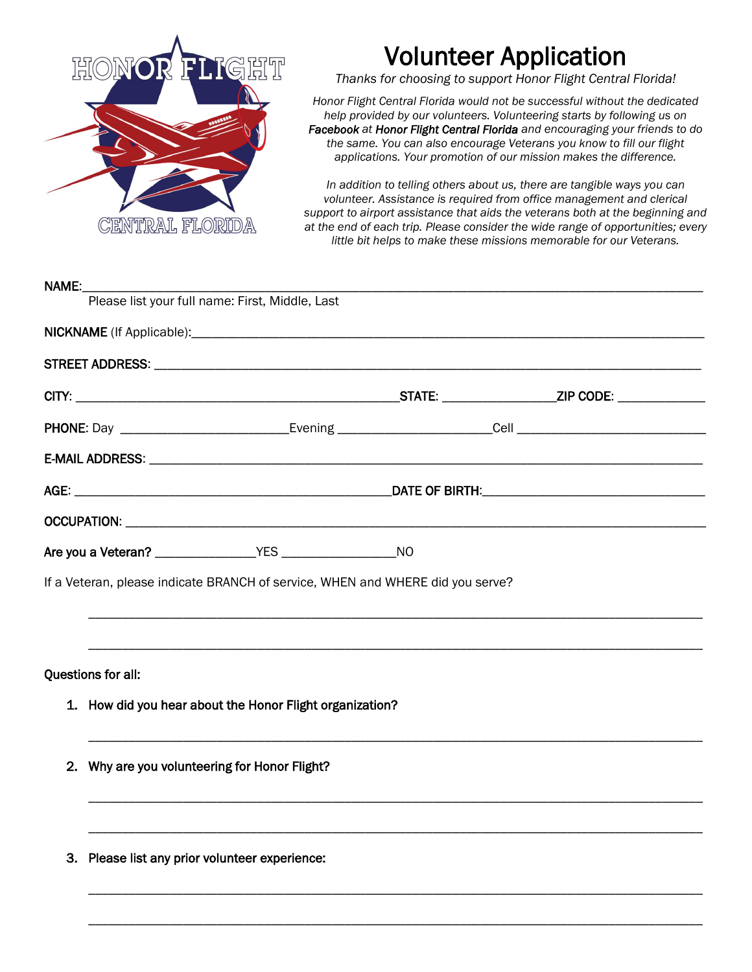

## Volunteer Application

*Thanks for choosing to support Honor Flight Central Florida!*

*Honor Flight Central Florida would not be successful without the dedicated help provided by our volunteers. Volunteering starts by following us on Facebook at Honor Flight Central Florida and encouraging your friends to do the same. You can also encourage Veterans you know to fill our flight applications. Your promotion of our mission makes the difference.*

*In addition to telling others about us, there are tangible ways you can volunteer. Assistance is required from office management and clerical support to airport assistance that aids the veterans both at the beginning and at the end of each trip. Please consider the wide range of opportunities; every little bit helps to make these missions memorable for our Veterans.*

| NAME:                                          |                                                          |                                                                                |  |  |  |  |
|------------------------------------------------|----------------------------------------------------------|--------------------------------------------------------------------------------|--|--|--|--|
|                                                |                                                          | Please list your full name: First, Middle, Last                                |  |  |  |  |
|                                                |                                                          |                                                                                |  |  |  |  |
|                                                |                                                          |                                                                                |  |  |  |  |
|                                                |                                                          |                                                                                |  |  |  |  |
|                                                |                                                          |                                                                                |  |  |  |  |
|                                                |                                                          |                                                                                |  |  |  |  |
|                                                |                                                          |                                                                                |  |  |  |  |
|                                                |                                                          |                                                                                |  |  |  |  |
|                                                |                                                          |                                                                                |  |  |  |  |
|                                                |                                                          | If a Veteran, please indicate BRANCH of service, WHEN and WHERE did you serve? |  |  |  |  |
|                                                |                                                          |                                                                                |  |  |  |  |
|                                                |                                                          |                                                                                |  |  |  |  |
|                                                | Questions for all:                                       |                                                                                |  |  |  |  |
|                                                | 1. How did you hear about the Honor Flight organization? |                                                                                |  |  |  |  |
|                                                |                                                          |                                                                                |  |  |  |  |
|                                                | 2. Why are you volunteering for Honor Flight?            |                                                                                |  |  |  |  |
|                                                |                                                          |                                                                                |  |  |  |  |
|                                                |                                                          |                                                                                |  |  |  |  |
| 3. Please list any prior volunteer experience: |                                                          |                                                                                |  |  |  |  |
|                                                |                                                          |                                                                                |  |  |  |  |
|                                                |                                                          |                                                                                |  |  |  |  |

\_\_\_\_\_\_\_\_\_\_\_\_\_\_\_\_\_\_\_\_\_\_\_\_\_\_\_\_\_\_\_\_\_\_\_\_\_\_\_\_\_\_\_\_\_\_\_\_\_\_\_\_\_\_\_\_\_\_\_\_\_\_\_\_\_\_\_\_\_\_\_\_\_\_\_\_\_\_\_\_\_\_\_\_\_\_\_\_\_\_\_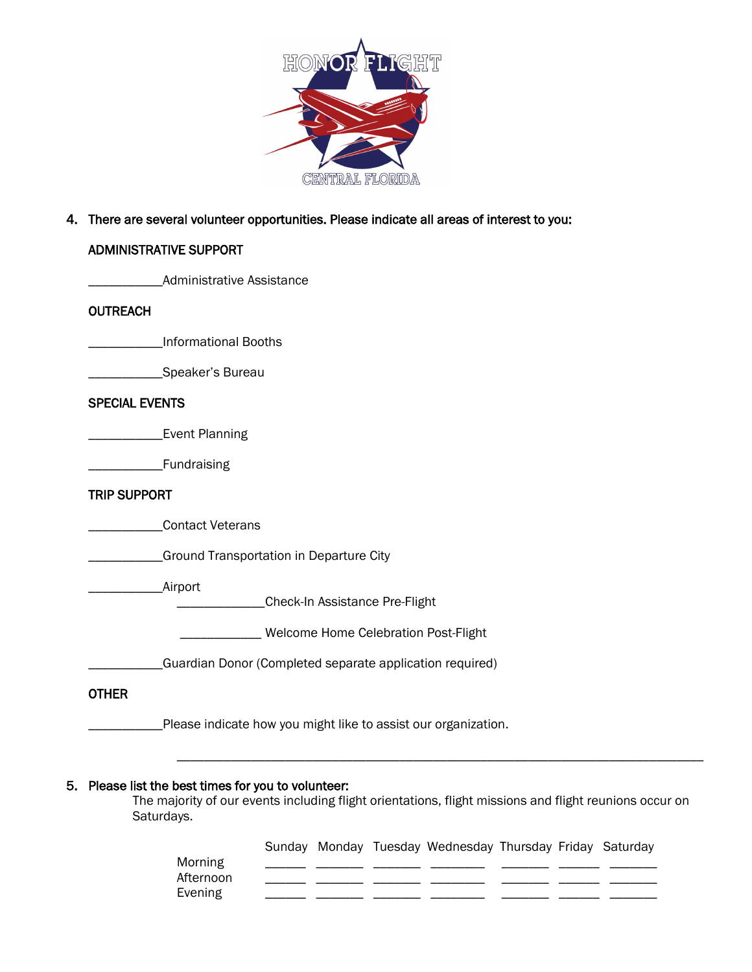

#### 4. There are several volunteer opportunities. Please indicate all areas of interest to you:

#### ADMINISTRATIVE SUPPORT

\_\_\_\_\_\_\_\_\_\_\_Administrative Assistance

#### **OUTREACH**

\_\_\_\_\_\_\_\_\_\_\_Informational Booths

\_\_\_\_\_\_\_\_\_\_\_Speaker's Bureau

#### SPECIAL EVENTS

**\_\_\_\_\_\_\_\_\_Event Planning** 

\_\_\_\_\_\_\_\_\_\_\_Fundraising

#### TRIP SUPPORT

\_\_\_\_\_\_\_\_\_\_\_Contact Veterans

**\_\_\_\_\_Ground Transportation in Departure City** 

\_\_\_\_\_\_\_\_\_\_\_Airport

\_\_\_\_\_\_\_\_\_\_\_\_\_Check-In Assistance Pre-Flight

\_\_\_\_\_\_\_\_\_\_\_\_ Welcome Home Celebration Post-Flight

\_\_\_\_\_\_\_\_\_\_\_Guardian Donor (Completed separate application required)

#### **OTHER**

\_Please indicate how you might like to assist our organization.

#### 5. Please list the best times for you to volunteer:

The majority of our events including flight orientations, flight missions and flight reunions occur on Saturdays.

|                      |  | Sunday Monday Tuesday Wednesday Thursday Friday Saturday |  |  |
|----------------------|--|----------------------------------------------------------|--|--|
| Morning              |  |                                                          |  |  |
| Afternoon<br>Evening |  |                                                          |  |  |
|                      |  |                                                          |  |  |

\_\_\_\_\_\_\_\_\_\_\_\_\_\_\_\_\_\_\_\_\_\_\_\_\_\_\_\_\_\_\_\_\_\_\_\_\_\_\_\_\_\_\_\_\_\_\_\_\_\_\_\_\_\_\_\_\_\_\_\_\_\_\_\_\_\_\_\_\_\_\_\_\_\_\_\_\_\_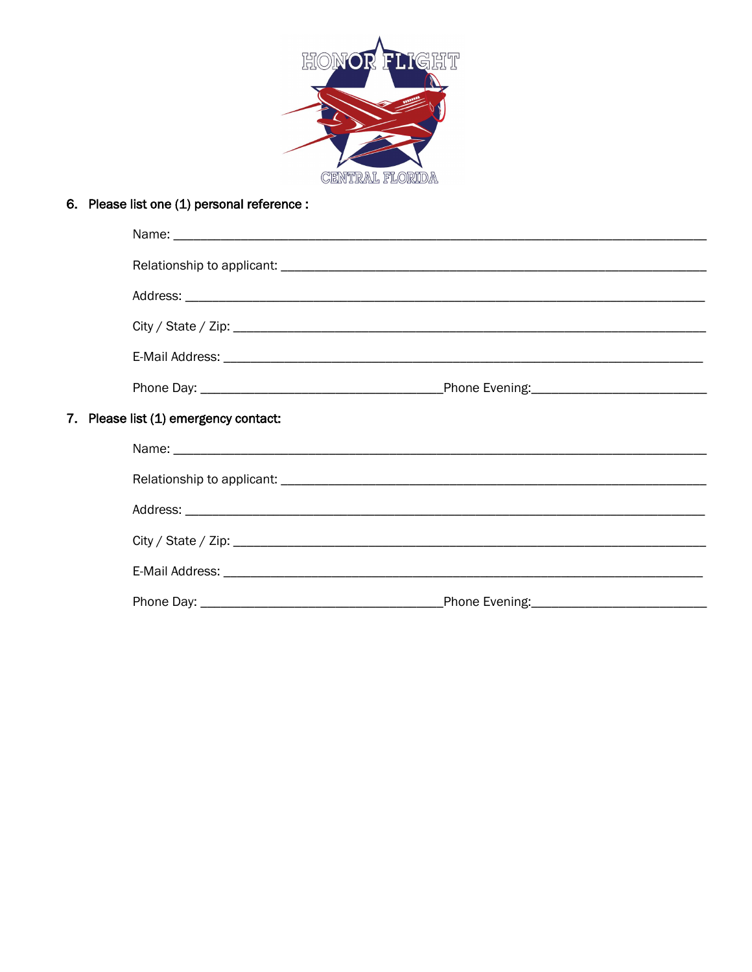

### 6. Please list one (1) personal reference :

|  |  | 7. Please list (1) emergency contact: |  |
|--|--|---------------------------------------|--|
|  |  |                                       |  |
|  |  |                                       |  |
|  |  |                                       |  |
|  |  |                                       |  |
|  |  |                                       |  |
|  |  |                                       |  |